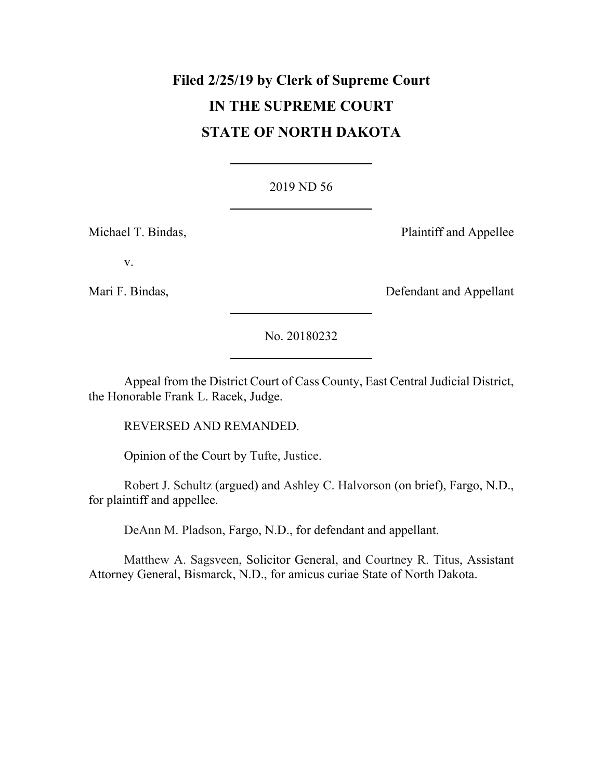# **Filed 2/25/19 by Clerk of Supreme Court IN THE SUPREME COURT STATE OF NORTH DAKOTA**

### [2019 ND 56](http://www.ndcourts.gov/supreme-court/opinion/2019ND56)

Michael T. Bindas, **Plaintiff and Appellee** 

v.

Mari F. Bindas, **Defendant and Appellant** 

[No. 20180232](http://www.ndcourts.gov/supreme-court/dockets/20180232)

Appeal from the District Court of Cass County, East Central Judicial District, the Honorable Frank L. Racek, Judge.

REVERSED AND REMANDED.

Opinion of the Court by Tufte, Justice.

Robert J. Schultz (argued) and Ashley C. Halvorson (on brief), Fargo, N.D., for plaintiff and appellee.

DeAnn M. Pladson, Fargo, N.D., for defendant and appellant.

Matthew A. Sagsveen, Solicitor General, and Courtney R. Titus, Assistant Attorney General, Bismarck, N.D., for amicus curiae State of North Dakota.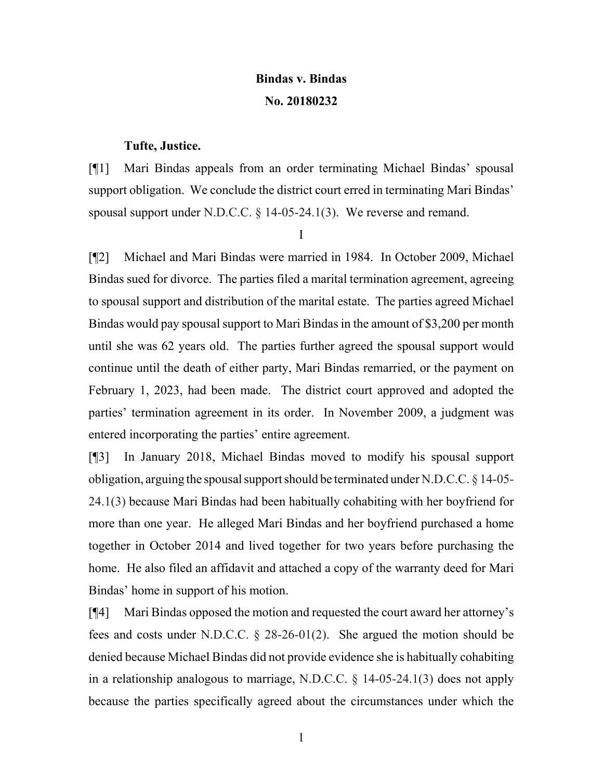## **Bindas v. Bindas [No. 20180232](http://www.ndcourts.gov/supreme-court/dockets/20180232)**

#### **Tufte, Justice.**

[¶1] Mari Bindas appeals from an order terminating Michael Bindas' spousal support obligation. We conclude the district court erred in terminating Mari Bindas' spousal support under N.D.C.C. § 14-05-24.1(3). We reverse and remand.

I

[¶2] Michael and Mari Bindas were married in 1984. In October 2009, Michael Bindas sued for divorce. The parties filed a marital termination agreement, agreeing to spousal support and distribution of the marital estate. The parties agreed Michael Bindas would pay spousal support to Mari Bindas in the amount of \$3,200 per month until she was 62 years old. The parties further agreed the spousal support would continue until the death of either party, Mari Bindas remarried, or the payment on February 1, 2023, had been made. The district court approved and adopted the parties' termination agreement in its order. In November 2009, a judgment was entered incorporating the parties' entire agreement.

[¶3] In January 2018, Michael Bindas moved to modify his spousal support obligation, arguing the spousal support should be terminated under N.D.C.C. § 14-05- 24.1(3) because Mari Bindas had been habitually cohabiting with her boyfriend for more than one year. He alleged Mari Bindas and her boyfriend purchased a home together in October 2014 and lived together for two years before purchasing the home. He also filed an affidavit and attached a copy of the warranty deed for Mari Bindas' home in support of his motion.

[¶4] Mari Bindas opposed the motion and requested the court award her attorney's fees and costs under N.D.C.C. § 28-26-01(2). She argued the motion should be denied because Michael Bindas did not provide evidence she is habitually cohabiting in a relationship analogous to marriage, N.D.C.C. § 14-05-24.1(3) does not apply because the parties specifically agreed about the circumstances under which the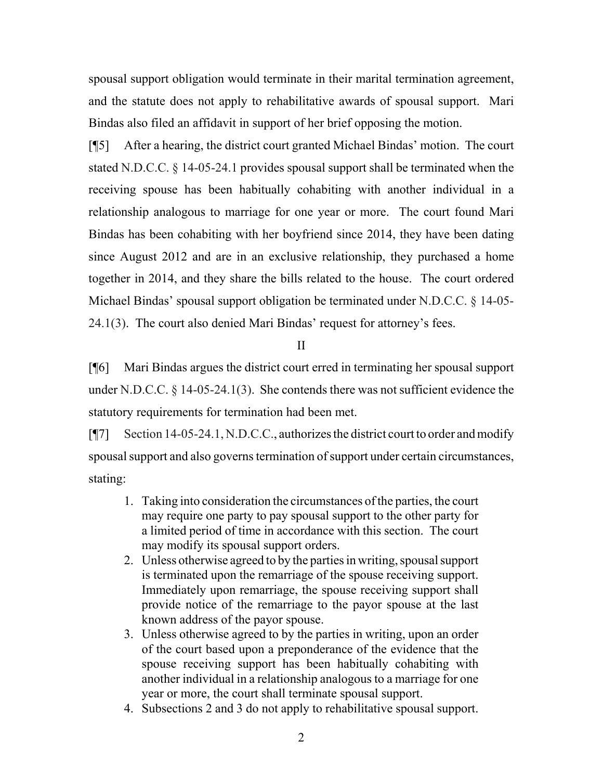spousal support obligation would terminate in their marital termination agreement, and the statute does not apply to rehabilitative awards of spousal support. Mari Bindas also filed an affidavit in support of her brief opposing the motion.

[¶5] After a hearing, the district court granted Michael Bindas' motion. The court stated N.D.C.C. § 14-05-24.1 provides spousal support shall be terminated when the receiving spouse has been habitually cohabiting with another individual in a relationship analogous to marriage for one year or more. The court found Mari Bindas has been cohabiting with her boyfriend since 2014, they have been dating since August 2012 and are in an exclusive relationship, they purchased a home together in 2014, and they share the bills related to the house. The court ordered Michael Bindas' spousal support obligation be terminated under N.D.C.C. § 14-05- 24.1(3). The court also denied Mari Bindas' request for attorney's fees.

II

[¶6] Mari Bindas argues the district court erred in terminating her spousal support under N.D.C.C. § 14-05-24.1(3). She contends there was not sufficient evidence the statutory requirements for termination had been met.

[¶7] Section 14-05-24.1, N.D.C.C., authorizes the district court to order and modify spousal support and also governs termination of support under certain circumstances, stating:

- 1. Taking into consideration the circumstances of the parties, the court may require one party to pay spousal support to the other party for a limited period of time in accordance with this section. The court may modify its spousal support orders.
- 2. Unless otherwise agreed to by the parties in writing, spousal support is terminated upon the remarriage of the spouse receiving support. Immediately upon remarriage, the spouse receiving support shall provide notice of the remarriage to the payor spouse at the last known address of the payor spouse.
- 3. Unless otherwise agreed to by the parties in writing, upon an order of the court based upon a preponderance of the evidence that the spouse receiving support has been habitually cohabiting with another individual in a relationship analogous to a marriage for one year or more, the court shall terminate spousal support.
- 4. Subsections 2 and 3 do not apply to rehabilitative spousal support.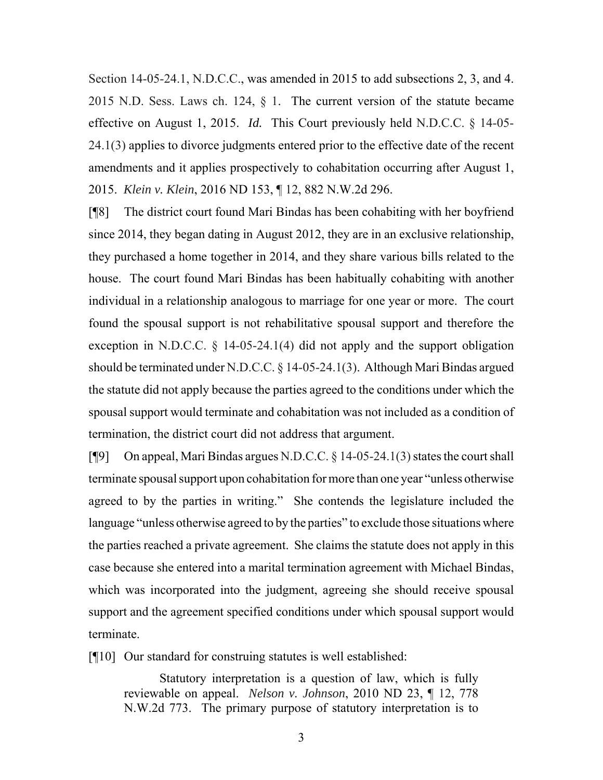Section 14-05-24.1, N.D.C.C., was amended in 2015 to add subsections 2, 3, and 4. 2015 N.D. Sess. Laws ch. 124,  $\S$  1. The current version of the statute became effective on August 1, 2015. *Id.* This Court previously held N.D.C.C. § 14-05- 24.1(3) applies to divorce judgments entered prior to the effective date of the recent amendments and it applies prospectively to cohabitation occurring after August 1, 2015. *Klein v. Klein*, [2016 ND 153,](http://www.ndcourts.gov/supreme-court/opinion/2016ND153) ¶ 12, [882 N.W.2d 296.](http://www.ndcourts.gov/supreme-court/opinion/882NW2d296)

[¶8] The district court found Mari Bindas has been cohabiting with her boyfriend since 2014, they began dating in August 2012, they are in an exclusive relationship, they purchased a home together in 2014, and they share various bills related to the house. The court found Mari Bindas has been habitually cohabiting with another individual in a relationship analogous to marriage for one year or more. The court found the spousal support is not rehabilitative spousal support and therefore the exception in N.D.C.C. § 14-05-24.1(4) did not apply and the support obligation should be terminated under N.D.C.C. § 14-05-24.1(3). Although Mari Bindas argued the statute did not apply because the parties agreed to the conditions under which the spousal support would terminate and cohabitation was not included as a condition of termination, the district court did not address that argument.

[¶9] On appeal, Mari Bindas argues N.D.C.C. § 14-05-24.1(3) states the court shall terminate spousal support upon cohabitation for more than one year "unless otherwise agreed to by the parties in writing." She contends the legislature included the language "unless otherwise agreed to by the parties" to exclude those situations where the parties reached a private agreement. She claims the statute does not apply in this case because she entered into a marital termination agreement with Michael Bindas, which was incorporated into the judgment, agreeing she should receive spousal support and the agreement specified conditions under which spousal support would terminate.

[¶10] Our standard for construing statutes is well established:

Statutory interpretation is a question of law, which is fully reviewable on appeal. *Nelson v. Johnson*, [2010 ND 23,](http://www.ndcourts.gov/supreme-court/opinion/2010ND23) ¶ 12, [778](http://www.ndcourts.gov/supreme-court/opinion/778NW2d773) [N.W.2d 773.](http://www.ndcourts.gov/supreme-court/opinion/778NW2d773) The primary purpose of statutory interpretation is to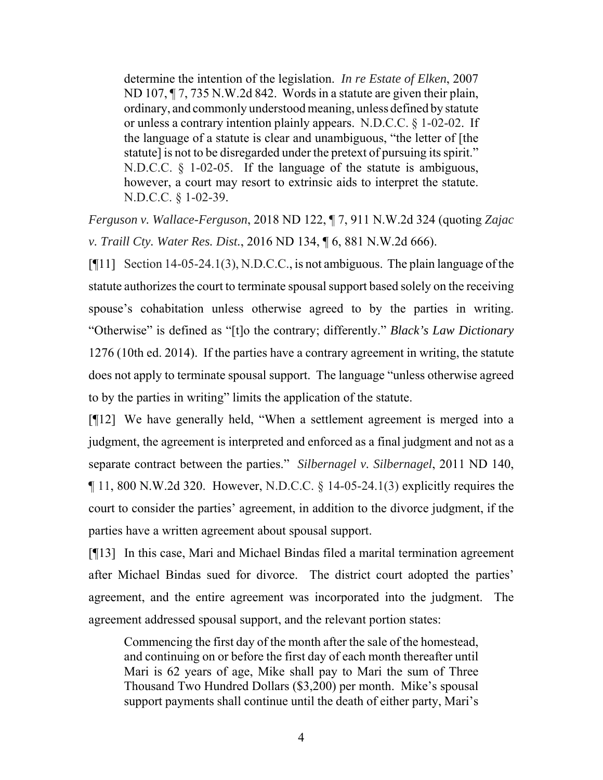determine the intention of the legislation. *In re Estate of Elken*, [2007](http://www.ndcourts.gov/supreme-court/opinion/2007ND107) [ND 107,](http://www.ndcourts.gov/supreme-court/opinion/2007ND107) ¶ 7, [735 N.W.2d 842.](http://www.ndcourts.gov/supreme-court/opinion/735NW2d842) Words in a statute are given their plain, ordinary, and commonly understood meaning, unless defined by statute or unless a contrary intention plainly appears. N.D.C.C. § 1-02-02. If the language of a statute is clear and unambiguous, "the letter of [the statute] is not to be disregarded under the pretext of pursuing its spirit." N.D.C.C. § 1-02-05. If the language of the statute is ambiguous, however, a court may resort to extrinsic aids to interpret the statute. N.D.C.C. § 1-02-39.

*Ferguson v. Wallace-Ferguson*, [2018 ND 122,](http://www.ndcourts.gov/supreme-court/opinion/2018ND122) ¶ 7, [911 N.W.2d 324](http://www.ndcourts.gov/supreme-court/opinion/911NW2d324) (quoting *Zajac v. Traill Cty. Water Res. Dist.*, [2016 ND 134,](http://www.ndcourts.gov/supreme-court/opinion/2016ND134) ¶ 6, [881 N.W.2d 666\).](http://www.ndcourts.gov/supreme-court/opinion/881NW2d666)

[¶11] Section 14-05-24.1(3), N.D.C.C., is not ambiguous. The plain language of the statute authorizes the court to terminate spousal support based solely on the receiving spouse's cohabitation unless otherwise agreed to by the parties in writing. "Otherwise" is defined as "[t]o the contrary; differently." *Black's Law Dictionary* 1276 (10th ed. 2014). If the parties have a contrary agreement in writing, the statute does not apply to terminate spousal support. The language "unless otherwise agreed to by the parties in writing" limits the application of the statute.

[¶12] We have generally held, "When a settlement agreement is merged into a judgment, the agreement is interpreted and enforced as a final judgment and not as a separate contract between the parties." *Silbernagel v. Silbernagel*, [2011 ND 140,](http://www.ndcourts.gov/supreme-court/opinion/2011ND140)  $\P$  11, [800 N.W.2d 320.](http://www.ndcourts.gov/supreme-court/opinion/800NW2d320) However, N.D.C.C. § 14-05-24.1(3) explicitly requires the court to consider the parties' agreement, in addition to the divorce judgment, if the parties have a written agreement about spousal support.

[¶13] In this case, Mari and Michael Bindas filed a marital termination agreement after Michael Bindas sued for divorce. The district court adopted the parties' agreement, and the entire agreement was incorporated into the judgment. The agreement addressed spousal support, and the relevant portion states:

Commencing the first day of the month after the sale of the homestead, and continuing on or before the first day of each month thereafter until Mari is 62 years of age, Mike shall pay to Mari the sum of Three Thousand Two Hundred Dollars (\$3,200) per month. Mike's spousal support payments shall continue until the death of either party, Mari's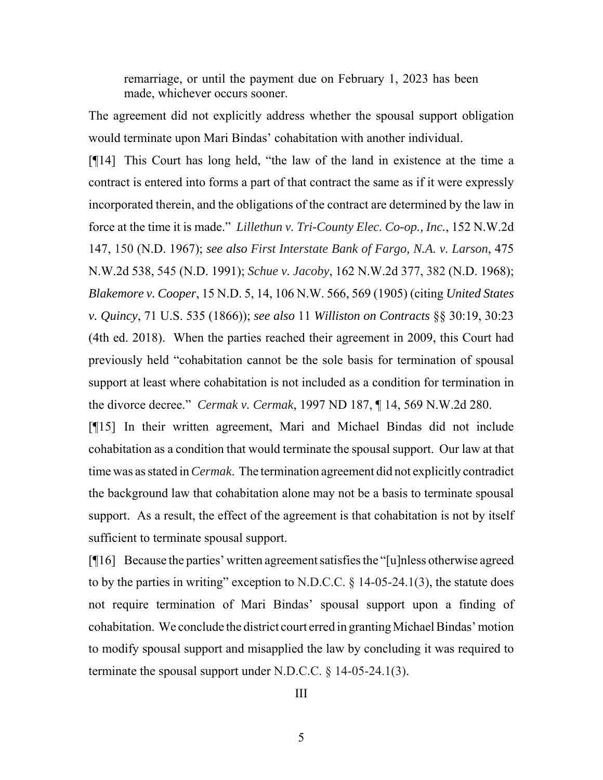remarriage, or until the payment due on February 1, 2023 has been made, whichever occurs sooner.

The agreement did not explicitly address whether the spousal support obligation would terminate upon Mari Bindas' cohabitation with another individual.

[¶14] This Court has long held, "the law of the land in existence at the time a contract is entered into forms a part of that contract the same as if it were expressly incorporated therein, and the obligations of the contract are determined by the law in force at the time it is made." *Lillethun v. Tri-County Elec. Co-op., Inc.*, [152 N.W.2d](http://www.ndcourts.gov/supreme-court/opinion/152NW2d147) [147,](http://www.ndcourts.gov/supreme-court/opinion/152NW2d147) 150 (N.D. 1967); *see also First Interstate Bank of Fargo, N.A. v. Larson*, [475](http://www.ndcourts.gov/supreme-court/opinion/475NW2d538) [N.W.2d 538,](http://www.ndcourts.gov/supreme-court/opinion/475NW2d538) 545 (N.D. 1991); *Schue v. Jacoby*, [162 N.W.2d 377,](http://www.ndcourts.gov/supreme-court/opinion/162NW2d377) 382 (N.D. 1968); *Blakemore v. Cooper*, 15 N.D. 5, 14, 106 N.W. 566, 569 (1905) (citing *United States v. Quincy*, 71 U.S. 535 (1866)); *see also* 11 *Williston on Contracts* §§ 30:19, 30:23 (4th ed. 2018). When the parties reached their agreement in 2009, this Court had previously held "cohabitation cannot be the sole basis for termination of spousal support at least where cohabitation is not included as a condition for termination in the divorce decree." *Cermak v. Cermak*, [1997 ND 187,](http://www.ndcourts.gov/supreme-court/opinion/1997ND187) ¶ 14, [569 N.W.2d 280.](http://www.ndcourts.gov/supreme-court/opinion/569NW2d280) 

[¶15] In their written agreement, Mari and Michael Bindas did not include cohabitation as a condition that would terminate the spousal support. Our law at that time was as stated in *Cermak*. The termination agreement did not explicitly contradict the background law that cohabitation alone may not be a basis to terminate spousal support. As a result, the effect of the agreement is that cohabitation is not by itself sufficient to terminate spousal support.

[¶16] Because the parties' written agreement satisfies the "[u]nless otherwise agreed to by the parties in writing" exception to N.D.C.C.  $\S$  14-05-24.1(3), the statute does not require termination of Mari Bindas' spousal support upon a finding of cohabitation. We conclude the district court erred in granting Michael Bindas' motion to modify spousal support and misapplied the law by concluding it was required to terminate the spousal support under N.D.C.C.  $\S$  14-05-24.1(3).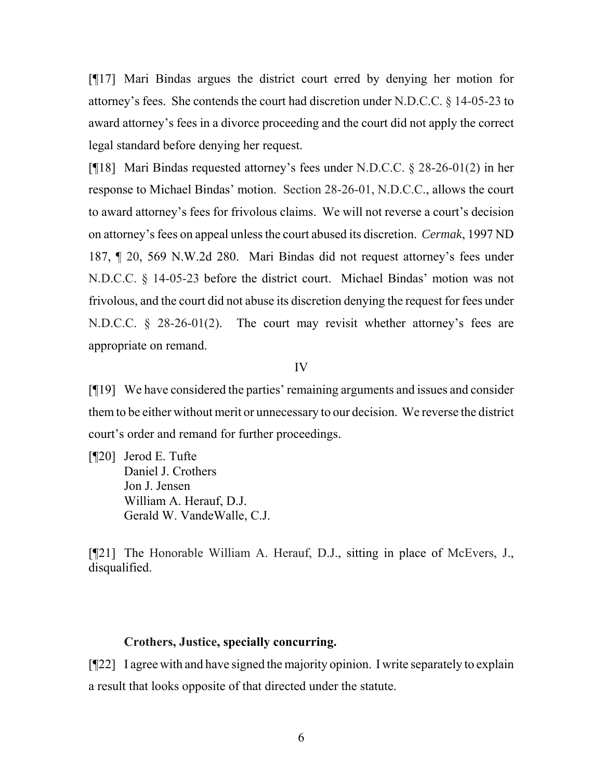[¶17] Mari Bindas argues the district court erred by denying her motion for attorney's fees. She contends the court had discretion under N.D.C.C. § 14-05-23 to award attorney's fees in a divorce proceeding and the court did not apply the correct legal standard before denying her request.

[¶18] Mari Bindas requested attorney's fees under N.D.C.C. § 28-26-01(2) in her response to Michael Bindas' motion. Section 28-26-01, N.D.C.C., allows the court to award attorney's fees for frivolous claims. We will not reverse a court's decision on attorney's fees on appeal unless the court abused its discretion. *Cermak*, [1997 ND](http://www.ndcourts.gov/supreme-court/opinion/1997ND187) [187,](http://www.ndcourts.gov/supreme-court/opinion/1997ND187) ¶ 20, [569 N.W.2d 280.](http://www.ndcourts.gov/supreme-court/opinion/569NW2d280) Mari Bindas did not request attorney's fees under N.D.C.C. § 14-05-23 before the district court. Michael Bindas' motion was not frivolous, and the court did not abuse its discretion denying the request for fees under N.D.C.C. § 28-26-01(2). The court may revisit whether attorney's fees are appropriate on remand.

#### IV

[¶19] We have considered the parties' remaining arguments and issues and consider them to be either without merit or unnecessary to our decision. We reverse the district court's order and remand for further proceedings.

[¶20] Jerod E. Tufte Daniel J. Crothers Jon J. Jensen William A. Herauf, D.J. Gerald W. VandeWalle, C.J.

[¶21] The Honorable William A. Herauf, D.J., sitting in place of McEvers, J., disqualified.

#### **Crothers, Justice, specially concurring.**

[¶22] I agree with and have signed the majority opinion. I write separately to explain a result that looks opposite of that directed under the statute.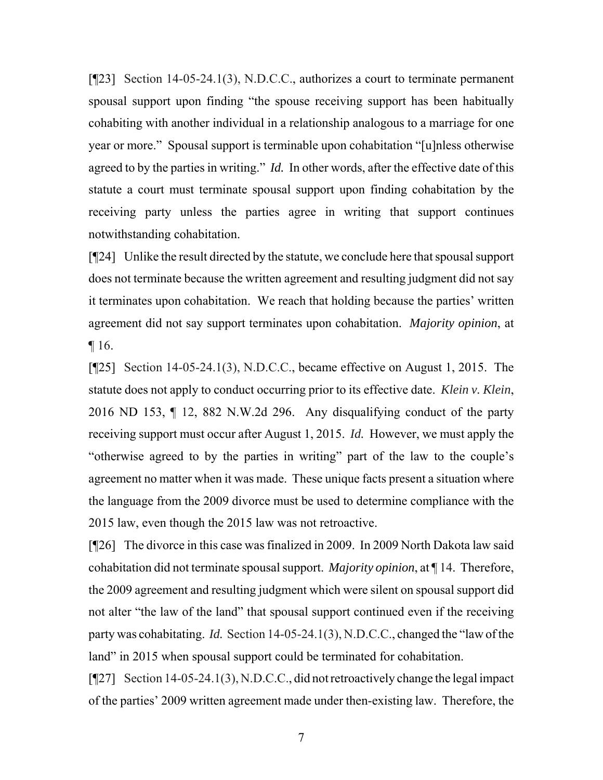[¶23] Section 14-05-24.1(3), N.D.C.C., authorizes a court to terminate permanent spousal support upon finding "the spouse receiving support has been habitually cohabiting with another individual in a relationship analogous to a marriage for one year or more." Spousal support is terminable upon cohabitation "[u]nless otherwise agreed to by the parties in writing." *Id.* In other words, after the effective date of this statute a court must terminate spousal support upon finding cohabitation by the receiving party unless the parties agree in writing that support continues notwithstanding cohabitation.

[¶24] Unlike the result directed by the statute, we conclude here that spousal support does not terminate because the written agreement and resulting judgment did not say it terminates upon cohabitation. We reach that holding because the parties' written agreement did not say support terminates upon cohabitation. *Majority opinion*, at  $\P$  16.

[¶25] Section 14-05-24.1(3), N.D.C.C., became effective on August 1, 2015. The statute does not apply to conduct occurring prior to its effective date. *Klein v. Klein*, [2016 ND 153,](http://www.ndcourts.gov/supreme-court/opinion/2016ND153) ¶ 12, [882 N.W.2d 296.](http://www.ndcourts.gov/supreme-court/opinion/882NW2d296) Any disqualifying conduct of the party receiving support must occur after August 1, 2015. *Id.* However, we must apply the "otherwise agreed to by the parties in writing" part of the law to the couple's agreement no matter when it was made. These unique facts present a situation where the language from the 2009 divorce must be used to determine compliance with the 2015 law, even though the 2015 law was not retroactive.

[¶26] The divorce in this case was finalized in 2009. In 2009 North Dakota law said cohabitation did not terminate spousal support. *Majority opinion*, at ¶ 14. Therefore, the 2009 agreement and resulting judgment which were silent on spousal support did not alter "the law of the land" that spousal support continued even if the receiving party was cohabitating. *Id.* Section 14-05-24.1(3), N.D.C.C., changed the "law of the land" in 2015 when spousal support could be terminated for cohabitation.

[¶27] Section 14-05-24.1(3), N.D.C.C., did not retroactively change the legal impact of the parties' 2009 written agreement made under then-existing law. Therefore, the